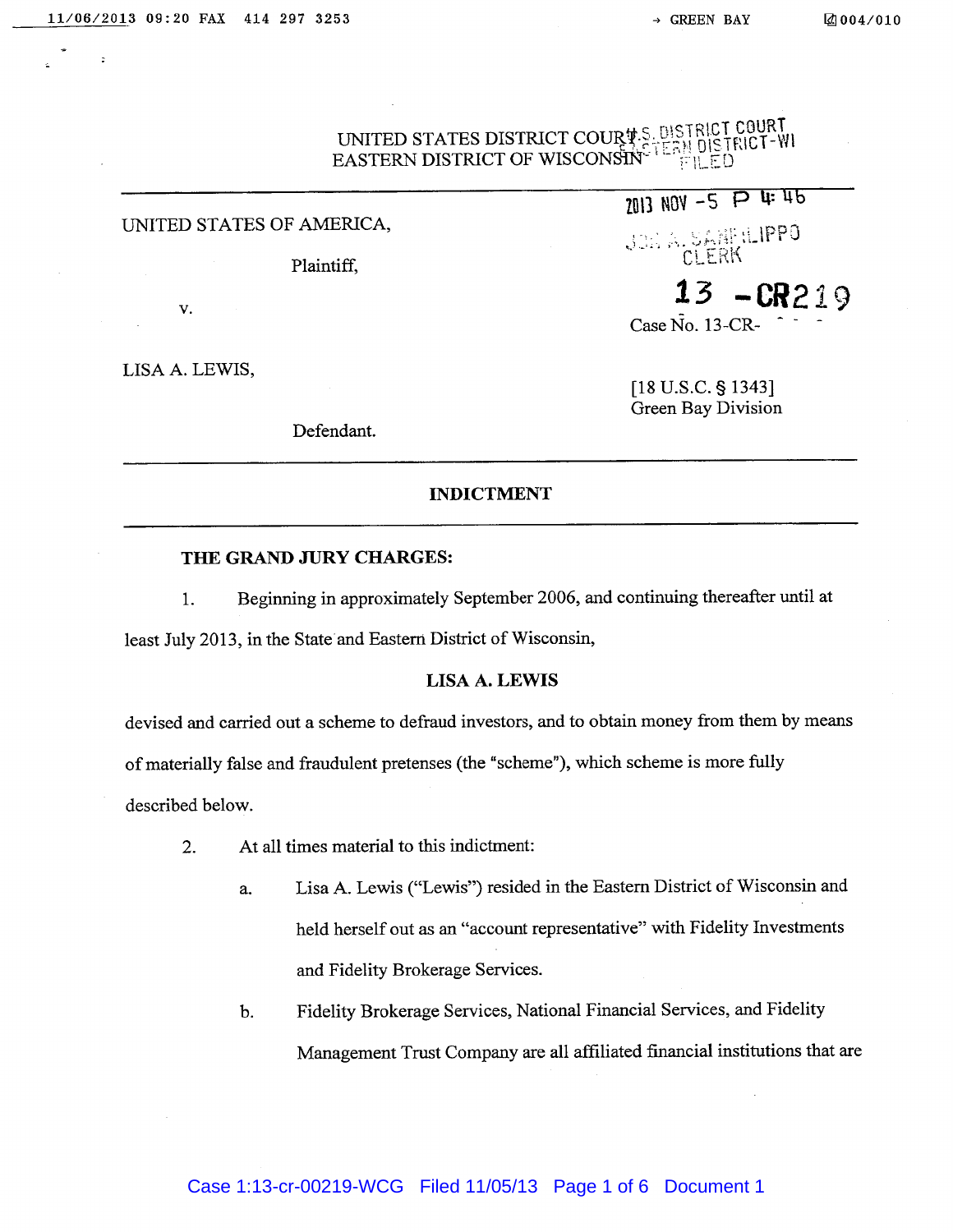# UNITED STATES DISTRICT COUR:;~~~~1l EASTERN DISTRICT OF WISCONSIN<sup>~</sup>

## UNITED STATES OF AMERICA,

V.

LISA A. LEWIS,

Defendant.

# $^{140V}$  -5  $P$  4 4b

Joha. SANFRIPPO Plaintiff, CLERK

13 —cR219

Case  $\tilde{No}$ . 13-CR-

[18 U.S.C. § 1343] Green Bay Division

## INDICTMENT

#### THE GRAND JURY CHARGES:

1. Beginning in approximately September 2006, and continuing thereafter until at

least July 2013, in the State and Eastern District of Wisconsin,

## LISA A. LEWIS

devised and carried out <sup>a</sup> scheme to defraud investors, and to obtain money from them by means

of materially false and fraudulent pretenses (the "scheme"), which scheme is more fully

described below.

- 2. At all times material to this indictment:
	- a. Lisa A. Lewis ("Lewis") resided in the Eastern District of Wisconsin and held herself out as an "account representative" with Fidelity Investments and Fidelity Brokerage Services.
	- b. Fidelity Brokerage Services, National Financial Services, and Fidelity Management Trust Company are all affiliated fmancial institutions that are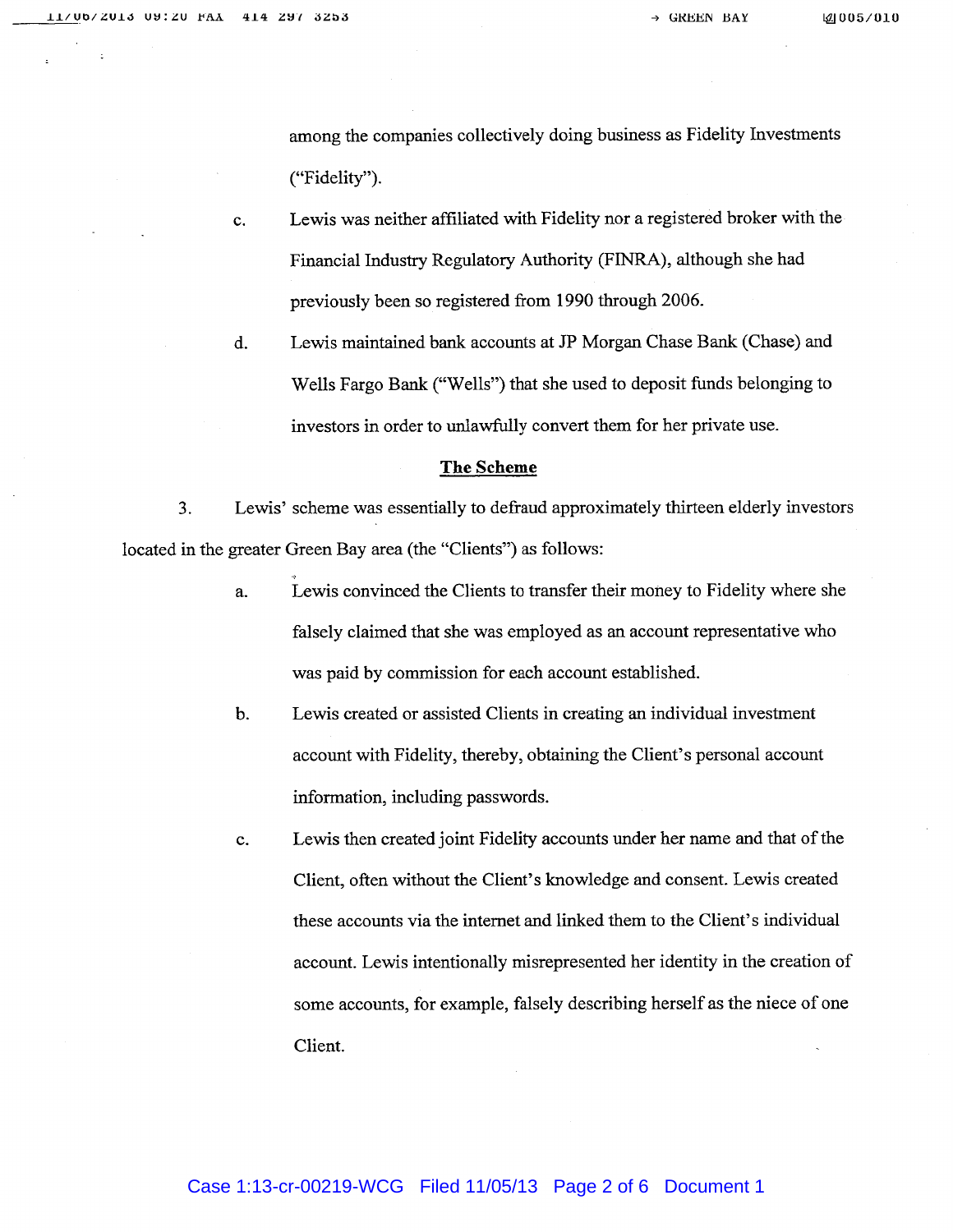among the companies collectively doing business as Fidelity Investments ("Fidelity").

- c. Lewis was neither affiliated with Fidelity nor <sup>a</sup> registered broker with the Financial Industry Regulatory Authority (FINRA), although she had previously been so registered from <sup>1990</sup> through 2006.
- d. Lewis maintained bank accounts at JP Morgan Chase Bank (Chase) and Wells Fargo Bank ("Wells") that she used to deposit funds belonging to investors in order to unlawfully convert them for her private use.

#### The Scheme

3. Lewis' scheme was essentially to defraud approximately thirteen elderly investors located in the greater Green Bay area (the "Clients") as follows:

- a. Lewis convinced the Clients to transfer their money to Fidelity where she falsely claimed that she was employed as an account representative who was paid by commission for each account established.
- b. Lewis created or assisted Clients in creating an individual investment account with Fidelity, thereby, obtaining the Client's personal account information, including passwords.
- c. Lewis then created joint Fidelity accounts under her name and that of the Client, often without the Client's knowledge and consent. Lewis created these accounts via the internet and linked them to the Client's individual account. Lewis intentionally misrepresented her identity in the creation of some accounts, for example, falsely describing herself as the niece of one Client.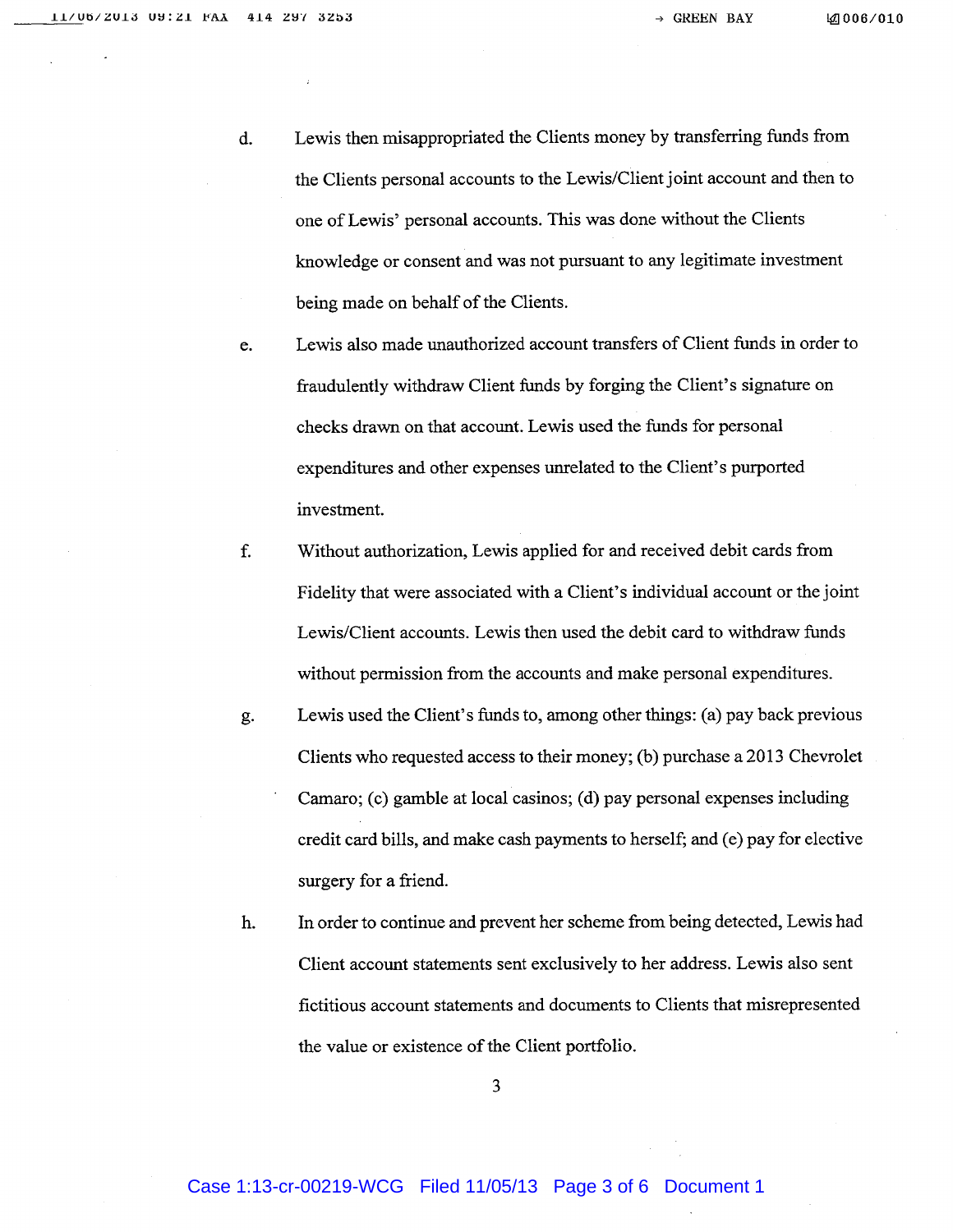- d. Lewis then misappropriated the Clients money by transferring funds from the Clients personal accounts to the Lewis/Client joint account and then to one of Lewis' personal accounts. This was done without the Clients knowledge or consent and was not pursuant to any legitimate investment being made on behalf of the Clients.
- e. Lewis also made unauthorized account transfers of Client funds in order to fraudulently withdraw Client funds by forging the Client's signature on checks drawn on that account. Lewis used the funds for personal expenditures and other expenses unrelated to the Client's purported investment.
- f. Without authorization, Lewis applied for and received debit cards from Fidelity that were associated with <sup>a</sup> Client's individual account or the joint Lewis/Client accounts. Lewis then used the debit card to withdraw funds without permission from the accounts and make personal expenditures.
- g. Lewis used the Client's funds to, among other things: (a) pay back previous Clients who requested access to their money; (b) purchase <sup>a</sup> 2013 Chevrolet Camaro; (c) gamble at local casinos; (d) pay personal expenses including credit card bills, and make cash payments to herself; and (e) pay for elective surgery for <sup>a</sup> friend.
- h. In order to continue and prevent her scheme from being detected, Lewis had Client account statements sent exclusively to her address. Lewis also sent fictitious account statements and documents to Clients that misrepresented the value or existence of the Client portfolio.

3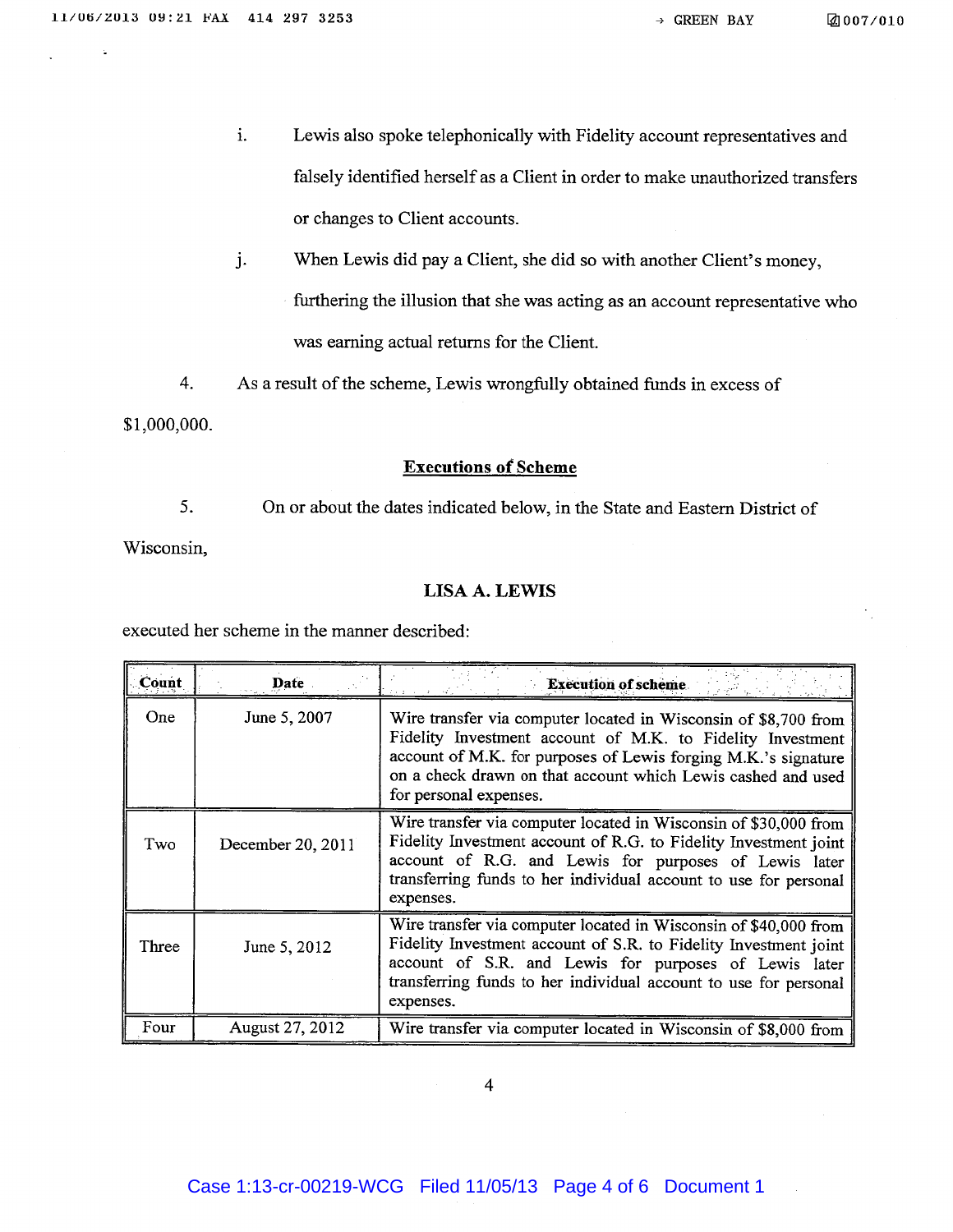- i. Lewis also spoke telephonically with Fidelity account representatives and falsely identified herself as <sup>a</sup> Client in order to make unauthorized transfers or changes to Client accounts.
- j. When Lewis did pay <sup>a</sup> Client, she did so with another Client's money,

furthering the illusion that she was acting as an account representative who was earning actual returns for the Client.

4. As <sup>a</sup> result of the scheme, Lewis wrongfully obtained funds in excess of

\$1,000,000.

#### Executions ot Scheme

5. On or about the dates indicated below, in the State and Eastern District of Wisconsin,

### LISA A. LEWIS

executed her scheme in the manner described:

| Count | Date              | <b>Execution of scheme.</b>                                                                                                                                                                                                                                                               |
|-------|-------------------|-------------------------------------------------------------------------------------------------------------------------------------------------------------------------------------------------------------------------------------------------------------------------------------------|
| One   | June 5, 2007      | Wire transfer via computer located in Wisconsin of \$8,700 from<br>Fidelity Investment account of M.K. to Fidelity Investment<br>account of M.K. for purposes of Lewis forging M.K.'s signature<br>on a check drawn on that account which Lewis cashed and used<br>for personal expenses. |
| Two   | December 20, 2011 | Wire transfer via computer located in Wisconsin of \$30,000 from<br>Fidelity Investment account of R.G. to Fidelity Investment joint<br>account of R.G. and Lewis for purposes of Lewis later<br>transferring funds to her individual account to use for personal<br>expenses.            |
| Three | June 5, 2012      | Wire transfer via computer located in Wisconsin of \$40,000 from<br>Fidelity Investment account of S.R. to Fidelity Investment joint<br>account of S.R. and Lewis for purposes of Lewis later<br>transferring funds to her individual account to use for personal<br>expenses.            |
| Four  | August 27, 2012   | Wire transfer via computer located in Wisconsin of \$8,000 from                                                                                                                                                                                                                           |

4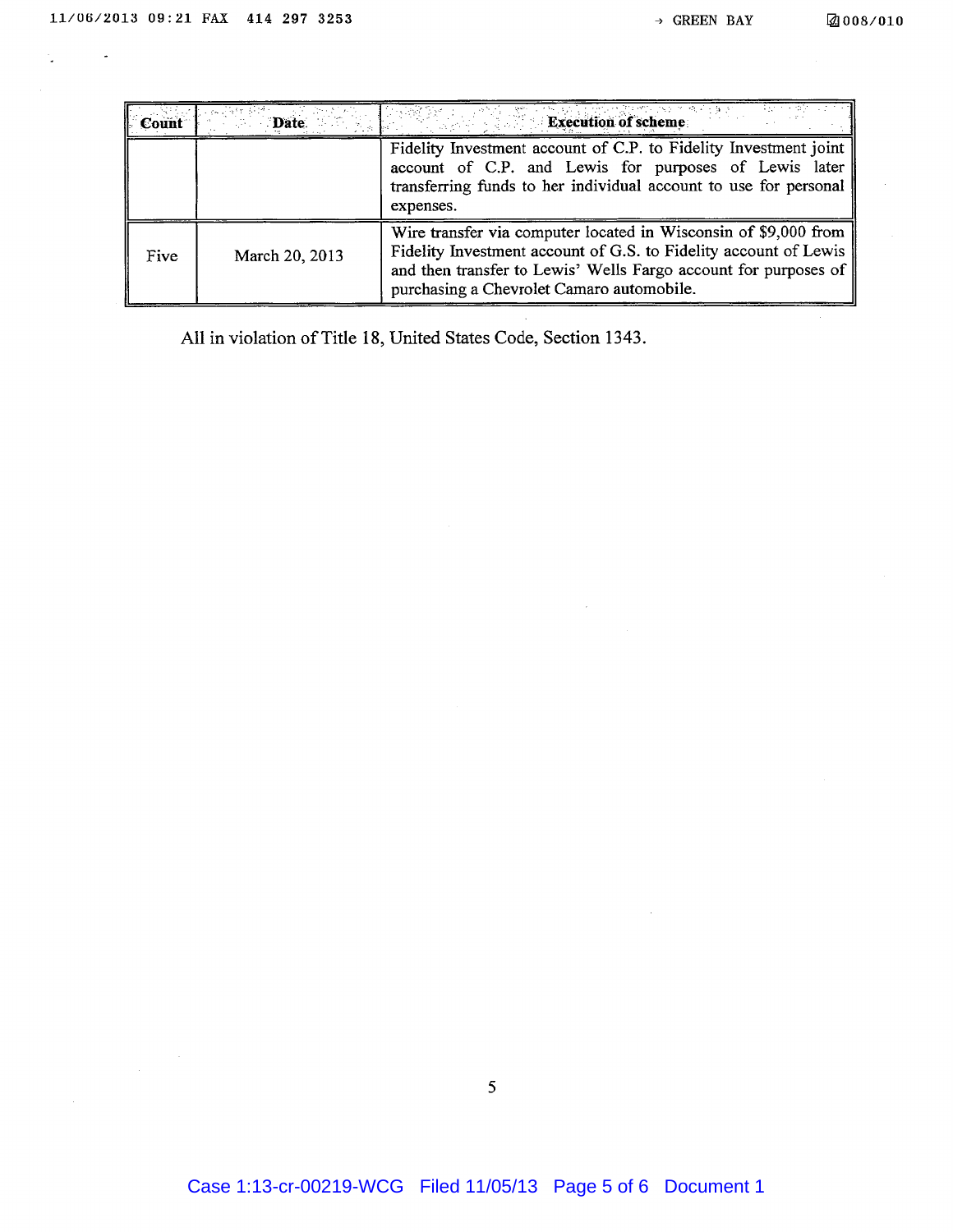t,

| <b>Count</b> | <b>Date</b>    | 的复数形式 化液体重排<br><b>Execution of scheme</b>                                                                                                                                                                                                           |
|--------------|----------------|-----------------------------------------------------------------------------------------------------------------------------------------------------------------------------------------------------------------------------------------------------|
|              |                | Fidelity Investment account of C.P. to Fidelity Investment joint<br>account of C.P. and Lewis for purposes of Lewis later<br>transferring funds to her individual account to use for personal<br>expenses.                                          |
| Five         | March 20, 2013 | Wire transfer via computer located in Wisconsin of \$9,000 from<br>Fidelity Investment account of G.S. to Fidelity account of Lewis<br>and then transfer to Lewis' Wells Fargo account for purposes of<br>purchasing a Chevrolet Camaro automobile. |

 $\sim$ 

All in violation of Title 18, United States Code, Section 1343.